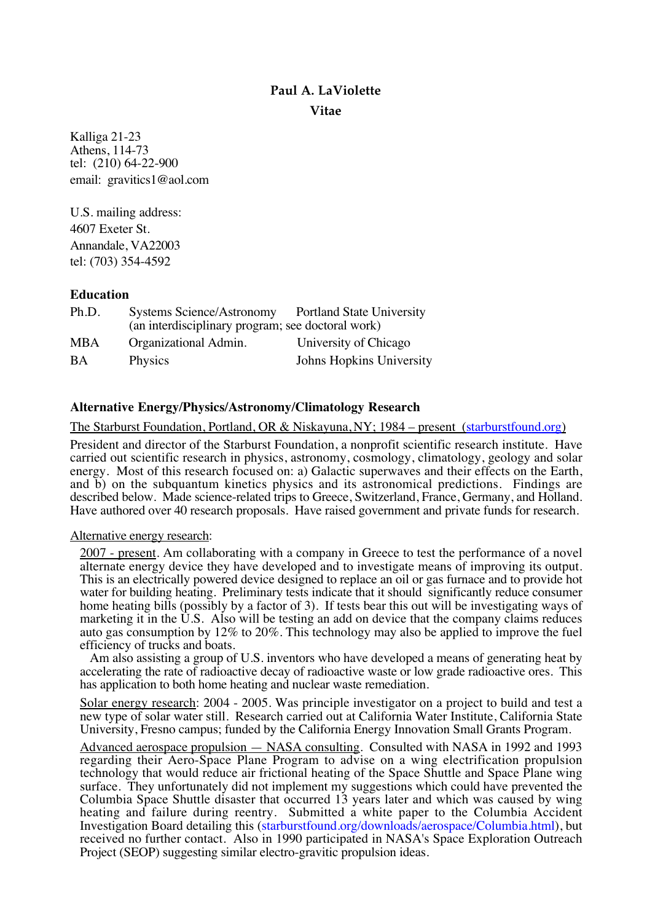# **Paul A. LaViolette Vitae**

Kalliga 21-23 Athens, 114-73 tel: (210) 64-22-900 email: gravitics1@aol.com

U.S. mailing address: 4607 Exeter St. Annandale, VA22003 tel: (703) 354-4592

### **Education**

| Ph.D.      | <b>Systems Science/Astronomy</b><br>(an interdisciplinary program; see doctoral work) | <b>Portland State University</b> |
|------------|---------------------------------------------------------------------------------------|----------------------------------|
| <b>MBA</b> | Organizational Admin.                                                                 | University of Chicago            |
| <b>BA</b>  | <b>Physics</b>                                                                        | Johns Hopkins University         |

### **Alternative Energy/Physics/Astronomy/Climatology Research**

The Starburst Foundation, Portland, OR & Niskayuna, NY; 1984 – present [\(starburstfound.org\)](http://starburstfound.org)

President and director of the Starburst Foundation, a nonprofit scientific research institute. Have carried out scientific research in physics, astronomy, cosmology, climatology, geology and solar energy. Most of this research focused on: a) Galactic superwaves and their effects on the Earth, and b) on the subquantum kinetics physics and its astronomical predictions. Findings are described below. Made science-related trips to Greece, Switzerland, France, Germany, and Holland. Have authored over 40 research proposals. Have raised government and private funds for research.

#### Alternative energy research:

2007 - present. Am collaborating with a company in Greece to test the performance of a novel alternate energy device they have developed and to investigate means of improving its output. This is an electrically powered device designed to replace an oil or gas furnace and to provide hot water for building heating. Preliminary tests indicate that it should significantly reduce consumer home heating bills (possibly by a factor of 3). If tests bear this out will be investigating ways of marketing it in the  $\overline{U}.S$ . Also will be testing an add on device that the company claims reduces auto gas consumption by 12% to 20%. This technology may also be applied to improve the fuel efficiency of trucks and boats.

Am also assisting a group of U.S. inventors who have developed a means of generating heat by accelerating the rate of radioactive decay of radioactive waste or low grade radioactive ores. This has application to both home heating and nuclear waste remediation.

Solar energy research: 2004 - 2005. Was principle investigator on a project to build and test a new type of solar water still. Research carried out at California Water Institute, California State University, Fresno campus; funded by the California Energy Innovation Small Grants Program.

Advanced aerospace propulsion — NASA consulting. Consulted with NASA in 1992 and 1993 regarding their Aero-Space Plane Program to advise on a wing electrification propulsion technology that would reduce air frictional heating of the Space Shuttle and Space Plane wing surface. They unfortunately did not implement my suggestions which could have prevented the Columbia Space Shuttle disaster that occurred 13 years later and which was caused by wing heating and failure during reentry. Submitted a white paper to the Columbia Accident Investigation Board detailing this [\(starburstfound.org/downloads/aerospace/Columbia.html\)](http://starburstfound.org/downloads/aerospace/Columbia.html), but received no further contact. Also in 1990 participated in NASA's Space Exploration Outreach Project (SEOP) suggesting similar electro-gravitic propulsion ideas.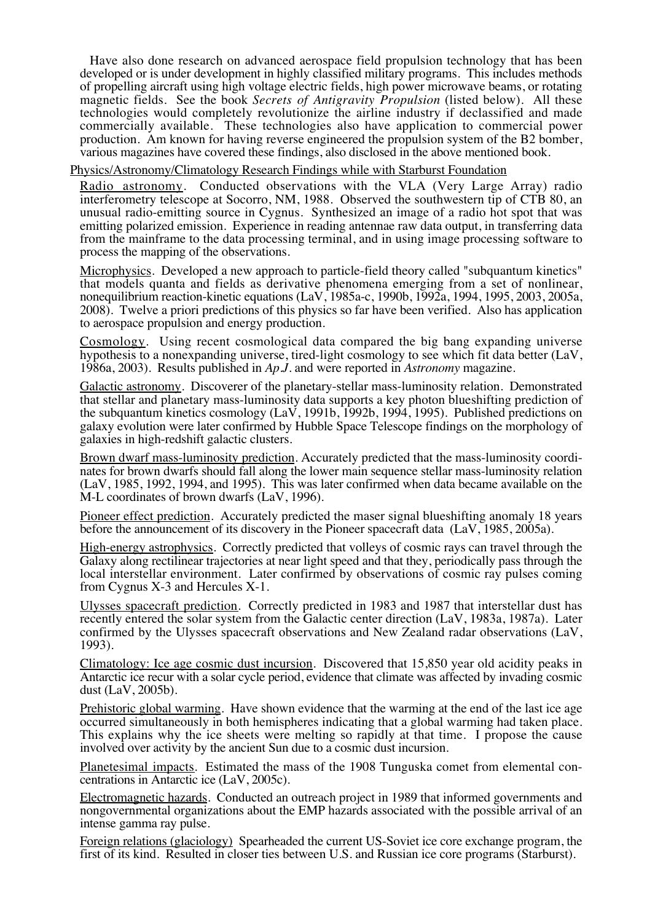Have also done research on advanced aerospace field propulsion technology that has been developed or is under development in highly classified military programs. This includes methods of propelling aircraft using high voltage electric fields, high power microwave beams, or rotating magnetic fields. See the book *Secrets of Antigravity Propulsion* (listed below). All these technologies would completely revolutionize the airline industry if declassified and made commercially available. These technologies also have application to commercial power production. Am known for having reverse engineered the propulsion system of the B2 bomber, various magazines have covered these findings, also disclosed in the above mentioned book.

Physics/Astronomy/Climatology Research Findings while with Starburst Foundation

Radio astronomy. Conducted observations with the VLA (Very Large Array) radio interferometry telescope at Socorro, NM, 1988. Observed the southwestern tip of CTB 80, an unusual radio-emitting source in Cygnus. Synthesized an image of a radio hot spot that was emitting polarized emission. Experience in reading antennae raw data output, in transferring data from the mainframe to the data processing terminal, and in using image processing software to process the mapping of the observations.

Microphysics. Developed a new approach to particle-field theory called "subquantum kinetics" that models quanta and fields as derivative phenomena emerging from a set of nonlinear, nonequilibrium reaction-kinetic equations (LaV, 1985a-c, 1990b, 1992a, 1994, 1995, 2003, 2005a, 2008). Twelve a priori predictions of this physics so far have been verified. Also has application to aerospace propulsion and energy production.

Cosmology. Using recent cosmological data compared the big bang expanding universe hypothesis to a nonexpanding universe, tired-light cosmology to see which fit data better (LaV, 1986a, 2003). Results published in *Ap.J.* and were reported in *Astronomy* magazine.

Galactic astronomy. Discoverer of the planetary-stellar mass-luminosity relation. Demonstrated that stellar and planetary mass-luminosity data supports a key photon blueshifting prediction of the subquantum kinetics cosmology (LaV, 1991b, 1992b, 1994, 1995). Published predictions on galaxy evolution were later confirmed by Hubble Space Telescope findings on the morphology of galaxies in high-redshift galactic clusters.

Brown dwarf mass-luminosity prediction. Accurately predicted that the mass-luminosity coordinates for brown dwarfs should fall along the lower main sequence stellar mass-luminosity relation (LaV, 1985, 1992, 1994, and 1995). This was later confirmed when data became available on the M-L coordinates of brown dwarfs (LaV, 1996).

Pioneer effect prediction. Accurately predicted the maser signal blueshifting anomaly 18 years before the announcement of its discovery in the Pioneer spacecraft data (LaV, 1985, 2005a).

High-energy astrophysics. Correctly predicted that volleys of cosmic rays can travel through the Galaxy along rectilinear trajectories at near light speed and that they, periodically pass through the local interstellar environment. Later confirmed by observations of cosmic ray pulses coming from Cygnus X-3 and Hercules X-1.

Ulysses spacecraft prediction. Correctly predicted in 1983 and 1987 that interstellar dust has recently entered the solar system from the Galactic center direction (LaV, 1983a, 1987a). Later confirmed by the Ulysses spacecraft observations and New Zealand radar observations (LaV, 1993).

Climatology: Ice age cosmic dust incursion. Discovered that 15,850 year old acidity peaks in Antarctic ice recur with a solar cycle period, evidence that climate was affected by invading cosmic dust (LaV, 2005b).

Prehistoric global warming. Have shown evidence that the warming at the end of the last ice age occurred simultaneously in both hemispheres indicating that a global warming had taken place. This explains why the ice sheets were melting so rapidly at that time. I propose the cause involved over activity by the ancient Sun due to a cosmic dust incursion.

Planetesimal impacts. Estimated the mass of the 1908 Tunguska comet from elemental concentrations in Antarctic ice (LaV, 2005c).

Electromagnetic hazards. Conducted an outreach project in 1989 that informed governments and nongovernmental organizations about the EMP hazards associated with the possible arrival of an intense gamma ray pulse.

Foreign relations (glaciology) Spearheaded the current US-Soviet ice core exchange program, the first of its kind. Resulted in closer ties between U.S. and Russian ice core programs (Starburst).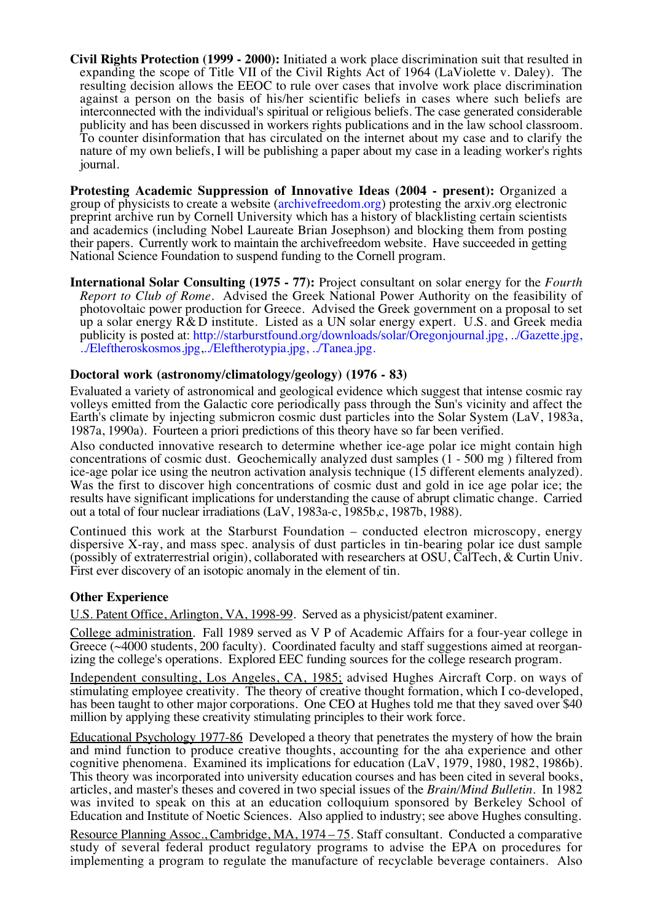**Civil Rights Protection (1999 - 2000):** Initiated a work place discrimination suit that resulted in expanding the scope of Title VII of the Civil Rights Act of 1964 (LaViolette v. Daley). The resulting decision allows the EEOC to rule over cases that involve work place discrimination against a person on the basis of his/her scientific beliefs in cases where such beliefs are interconnected with the individual's spiritual or religious beliefs. The case generated considerable publicity and has been discussed in workers rights publications and in the law school classroom. To counter disinformation that has circulated on the internet about my case and to clarify the nature of my own beliefs, I will be publishing a paper about my case in a leading worker's rights journal.

**Protesting Academic Suppression of Innovative Ideas (2004 - present):** Organized a group of physicists to create a website [\(archivefreedom.org\)](http://archivefreedom.org) protesting the arxiv.org electronic preprint archive run by Cornell University which has a history of blacklisting certain scientists and academics (including Nobel Laureate Brian Josephson) and blocking them from posting their papers. Currently work to maintain the archivefreedom website. Have succeeded in getting National Science Foundation to suspend funding to the Cornell program.

**International Solar Consulting (1975 - 77):** Project consultant on solar energy for the *Fourth Report to Club of Rome*. Advised the Greek National Power Authority on the feasibility of photovoltaic power production for Greece. Advised the Greek government on a proposal to set up a solar energy R& D institute. Listed as a UN solar energy expert. U.S. and Greek media publicity is posted at: [http://starburstfound.org/downloads/solar/Oregonjournal.jpg,](http://starburstfound.org/downloads/solar/Oregonjournal.jpg) [../Gazette.jpg,](http://starburstfound.org/downloads/solar/Gazette.jpg) [../Eleftheroskosmos.jpg,](http://starburstfound.org/downloads/solar/Eleftheroskosmos.jpg)[../Eleftherotypia.jpg,](http://starburstfound.org/downloads/solar/Eleftherotypia.jpg) [../Tanea.jpg.](http://starburstfound.org/downloads/solar/Tanea.jpg)

#### **Doctoral work (astronomy/climatology/geology) (1976 - 83)**

Evaluated a variety of astronomical and geological evidence which suggest that intense cosmic ray volleys emitted from the Galactic core periodically pass through the Sun's vicinity and affect the Earth's climate by injecting submicron cosmic dust particles into the Solar System (LaV, 1983a, 1987a, 1990a). Fourteen a priori predictions of this theory have so far been verified.

Also conducted innovative research to determine whether ice-age polar ice might contain high concentrations of cosmic dust. Geochemically analyzed dust samples (1 - 500 mg ) filtered from ice-age polar ice using the neutron activation analysis technique (15 different elements analyzed). Was the first to discover high concentrations of cosmic dust and gold in ice age polar ice; the results have significant implications for understanding the cause of abrupt climatic change. Carried out a total of four nuclear irradiations (LaV, 1983a-c, 1985b,c, 1987b, 1988).

Continued this work at the Starburst Foundation – conducted electron microscopy, energy dispersive X-ray, and mass spec. analysis of dust particles in tin-bearing polar ice dust sample (possibly of extraterrestrial origin), collaborated with researchers at OSU, CalTech, & Curtin Univ. First ever discovery of an isotopic anomaly in the element of tin.

#### **Other Experience**

U.S. Patent Office, Arlington, VA, 1998-99. Served as a physicist/patent examiner.

College administration. Fall 1989 served as V P of Academic Affairs for a four-year college in Greece (~4000 students, 200 faculty). Coordinated faculty and staff suggestions aimed at reorganizing the college's operations. Explored EEC funding sources for the college research program.

Independent consulting, Los Angeles, CA, 1985; advised Hughes Aircraft Corp. on ways of stimulating employee creativity. The theory of creative thought formation, which I co-developed, has been taught to other major corporations. One CEO at Hughes told me that they saved over \$40 million by applying these creativity stimulating principles to their work force.

Educational Psychology 1977-86 Developed a theory that penetrates the mystery of how the brain and mind function to produce creative thoughts, accounting for the aha experience and other cognitive phenomena. Examined its implications for education (LaV, 1979, 1980, 1982, 1986b). This theory was incorporated into university education courses and has been cited in several books, articles, and master's theses and covered in two special issues of the *Brain/Mind Bulletin*. In 1982 was invited to speak on this at an education colloquium sponsored by Berkeley School of Education and Institute of Noetic Sciences. Also applied to industry; see above Hughes consulting.

Resource Planning Assoc., Cambridge, MA, 1974 – 75. Staff consultant. Conducted a comparative study of several federal product regulatory programs to advise the EPA on procedures for implementing a program to regulate the manufacture of recyclable beverage containers. Also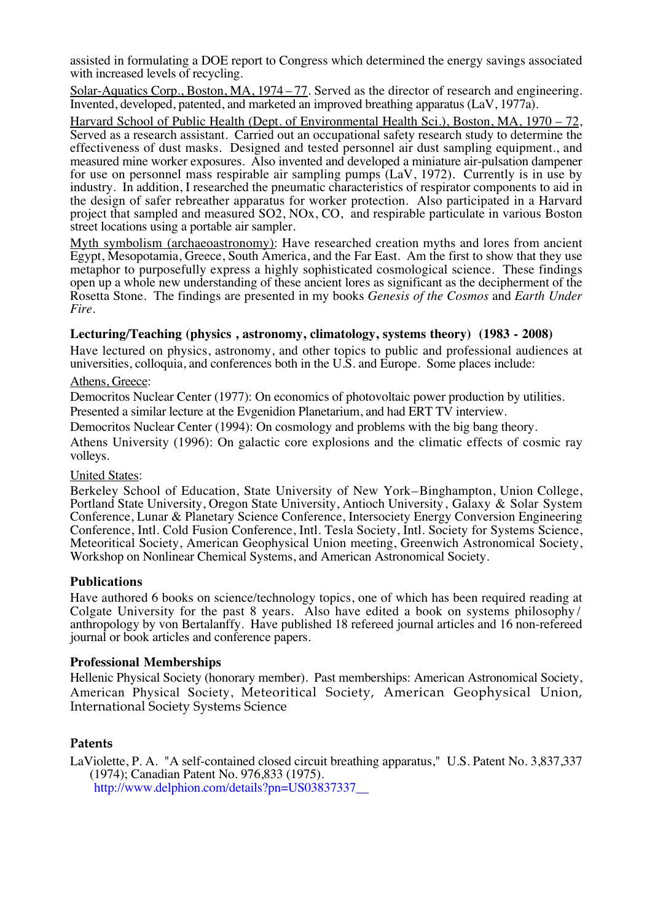assisted in formulating a DOE report to Congress which determined the energy savings associated with increased levels of recycling.

Solar-Aquatics Corp., Boston, MA, 1974 – 77. Served as the director of research and engineering. Invented, developed, patented, and marketed an improved breathing apparatus (LaV, 1977a).

Harvard School of Public Health (Dept. of Environmental Health Sci.), Boston, MA, 1970 – 72, Served as a research assistant. Carried out an occupational safety research study to determine the effectiveness of dust masks. Designed and tested personnel air dust sampling equipment., and measured mine worker exposures. Also invented and developed a miniature air-pulsation dampener for use on personnel mass respirable air sampling pumps (LaV, 1972). Currently is in use by industry. In addition, I researched the pneumatic characteristics of respirator components to aid in the design of safer rebreather apparatus for worker protection. Also participated in a Harvard project that sampled and measured SO2, NOx, CO, and respirable particulate in various Boston street locations using a portable air sampler.

Myth symbolism (archaeoastronomy): Have researched creation myths and lores from ancient Egypt, Mesopotamia, Greece, South America, and the Far East. Am the first to show that they use metaphor to purposefully express a highly sophisticated cosmological science. These findings open up a whole new understanding of these ancient lores as significant as the decipherment of the Rosetta Stone. The findings are presented in my books *Genesis of the Cosmos* and *Earth Under Fire*.

# **Lecturing/Teaching (physics , astronomy, climatology, systems theory) (1983 - 2008)**

Have lectured on physics, astronomy, and other topics to public and professional audiences at universities, colloquia, and conferences both in the U.S. and Europe. Some places include:

## Athens, Greece:

Democritos Nuclear Center (1977): On economics of photovoltaic power production by utilities.

Presented a similar lecture at the Evgenidion Planetarium, and had ERT TV interview.

Democritos Nuclear Center (1994): On cosmology and problems with the big bang theory.

Athens University (1996): On galactic core explosions and the climatic effects of cosmic ray volleys.

### United States:

Berkeley School of Education, State University of New York–Binghampton, Union College, Portland State University, Oregon State University, Antioch University, Galaxy & Solar System Conference, Lunar & Planetary Science Conference, Intersociety Energy Conversion Engineering Conference, Intl. Cold Fusion Conference, Intl. Tesla Society, Intl. Society for Systems Science, Meteoritical Society, American Geophysical Union meeting, Greenwich Astronomical Society, Workshop on Nonlinear Chemical Systems, and American Astronomical Society.

### **Publications**

Have authored 6 books on science/technology topics, one of which has been required reading at Colgate University for the past 8 years. Also have edited a book on systems philosophy / anthropology by von Bertalanffy. Have published 18 refereed journal articles and 16 non-refereed journal or book articles and conference papers.

### **Professional Memberships**

Hellenic Physical Society (honorary member). Past memberships: American Astronomical Society, American Physical Society, Meteoritical Society, American Geophysical Union, International Society Systems Science

# **Patents**

LaViolette, P. A. "A self-contained closed circuit breathing apparatus," U.S. Patent No. 3,837,337 (1974); Canadian Patent No. 976,833 (1975). [http://www.delphion.com/details?pn=US03837337\\_\\_](http://www.delphion.com/details?pn=US03837337__)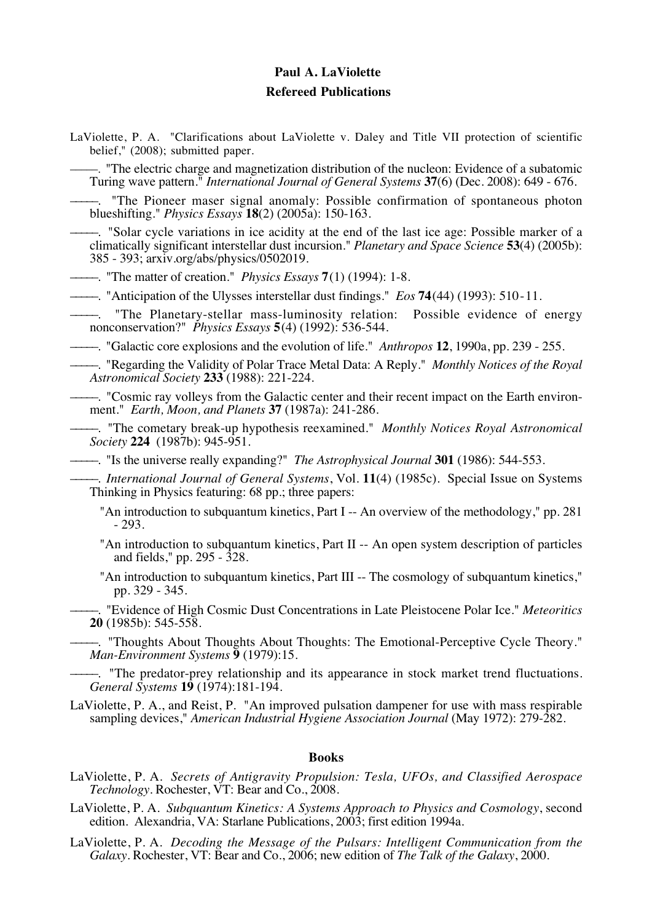# **Paul A. LaViolette Refereed Publications**

LaViolette, P. A. "Clarifications about LaViolette v. Daley and Title VII protection of scientific belief," (2008); submitted paper.

–––––. "The electric charge and magnetization distribution of the nucleon: Evidence of a subatomic Turing wave pattern." *International Journal of General Systems* **37**(6) (Dec. 2008): 649 - 676.

"The Pioneer maser signal anomaly: Possible confirmation of spontaneous photon blueshifting." *Physics Essays* **18**(2) (2005a): 150-163.

–––––. "Solar cycle variations in ice acidity at the end of the last ice age: Possible marker of a climatically significant interstellar dust incursion." *Planetary and Space Science* **53**(4) (2005b): 385 - 393; arxiv.org/abs/physics/0502019.

–––––. "The matter of creation." *Physics Essays* **7**(1) (1994): 1-8.

–––––. "Anticipation of the Ulysses interstellar dust findings." *Eos* **74**(44) (1993): 510-11.

"The Planetary-stellar mass-luminosity relation: Possible evidence of energy nonconservation?" *Physics Essays* **5**(4) (1992): 536-544.

–––––. "Galactic core explosions and the evolution of life." *Anthropos* **12**, 1990a, pp. 239 - 255.

–––––. "Regarding the Validity of Polar Trace Metal Data: A Reply." *Monthly Notices of the Royal Astronomical Society* **233** (1988): 221-224.

–––––. "Cosmic ray volleys from the Galactic center and their recent impact on the Earth environment." *Earth, Moon, and Planets* **37** (1987a): 241-286.

–––––. "The cometary break-up hypothesis reexamined." *Monthly Notices Royal Astronomical Society* **224** (1987b): 945-951.

–––––. "Is the universe really expanding?" *The Astrophysical Journal* **301** (1986): 544-553.

–––––. *International Journal of General Systems*, Vol. **11**(4) (1985c). Special Issue on Systems Thinking in Physics featuring: 68 pp.; three papers:

"An introduction to subquantum kinetics, Part I -- An overview of the methodology," pp. 281 - 293.

"An introduction to subquantum kinetics, Part II -- An open system description of particles and fields," pp. 295 - 328.

"An introduction to subquantum kinetics, Part III -- The cosmology of subquantum kinetics," pp. 329 - 345.

–––––. "Evidence of High Cosmic Dust Concentrations in Late Pleistocene Polar Ice." *Meteoritics* **20** (1985b): 545-558.

–––––. "Thoughts About Thoughts About Thoughts: The Emotional-Perceptive Cycle Theory." *Man-Environment Systems* **9** (1979):15.

–––––. "The predator-prey relationship and its appearance in stock market trend fluctuations. *General Systems* **19** (1974):181-194.

LaViolette, P. A., and Reist, P. "An improved pulsation dampener for use with mass respirable sampling devices," *American Industrial Hygiene Association Journal* (May 1972): 279-282.

#### **Books**

LaViolette, P. A. *Secrets of Antigravity Propulsion: Tesla, UFOs, and Classified Aerospace Technology*. Rochester, VT: Bear and Co., 2008.

LaViolette, P. A. *Subquantum Kinetics: A Systems Approach to Physics and Cosmology*, second edition. Alexandria, VA: Starlane Publications, 2003; first edition 1994a.

LaViolette, P. A. *Decoding the Message of the Pulsars: Intelligent Communication from the Galaxy.* Rochester, VT: Bear and Co., 2006; new edition of *The Talk of the Galaxy*, 2000.